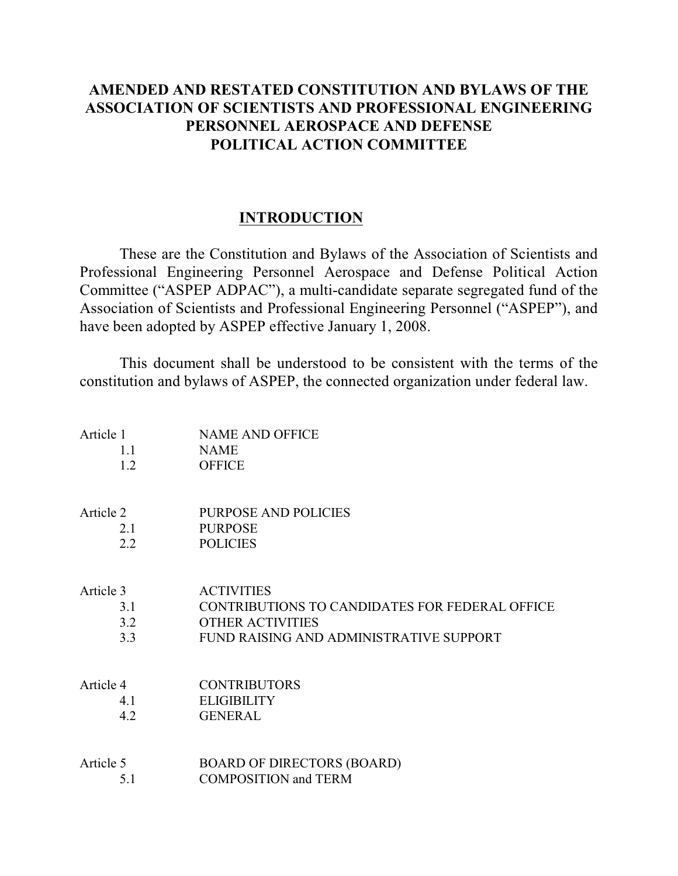# **AMENDED AND RESTATED CONSTITUTION AND BYLAWS OF THE ASSOCIATION OF SCIENTISTS AND PROFESSIONAL ENGINEERING PERSONNEL AEROSPACE AND DEFENSE POLITICAL ACTION COMMITTEE**

# **INTRODUCTION**

These are the Constitution and Bylaws of the Association of Scientists and Professional Engineering Personnel Aerospace and Defense Political Action Committee ("ASPEP ADPAC"), a multi-candidate separate segregated fund of the Association of Scientists and Professional Engineering Personnel ("ASPEP"), and have been adopted by ASPEP effective January 1, 2008.

This document shall be understood to be consistent with the terms of the constitution and bylaws of ASPEP, the connected organization under federal law.

| Article 1     | <b>NAME AND OFFICE</b>                         |
|---------------|------------------------------------------------|
| 1.1           | <b>NAME</b>                                    |
| 1.2           | <b>OFFICE</b>                                  |
| Article 2     | <b>PURPOSE AND POLICIES</b>                    |
| 2.1           | <b>PURPOSE</b>                                 |
| $2.2^{\circ}$ | <b>POLICIES</b>                                |
| Article 3     | <b>ACTIVITIES</b>                              |
| 3.1           | CONTRIBUTIONS TO CANDIDATES FOR FEDERAL OFFICE |
| 3.2           | <b>OTHER ACTIVITIES</b>                        |
| 3.3           | FUND RAISING AND ADMINISTRATIVE SUPPORT        |
| Article 4     | <b>CONTRIBUTORS</b>                            |
| 4.1           | <b>ELIGIBILITY</b>                             |
| 4.2           | <b>GENERAL</b>                                 |
| Article 5     | <b>BOARD OF DIRECTORS (BOARD)</b>              |
| 5.1           | <b>COMPOSITION</b> and TERM                    |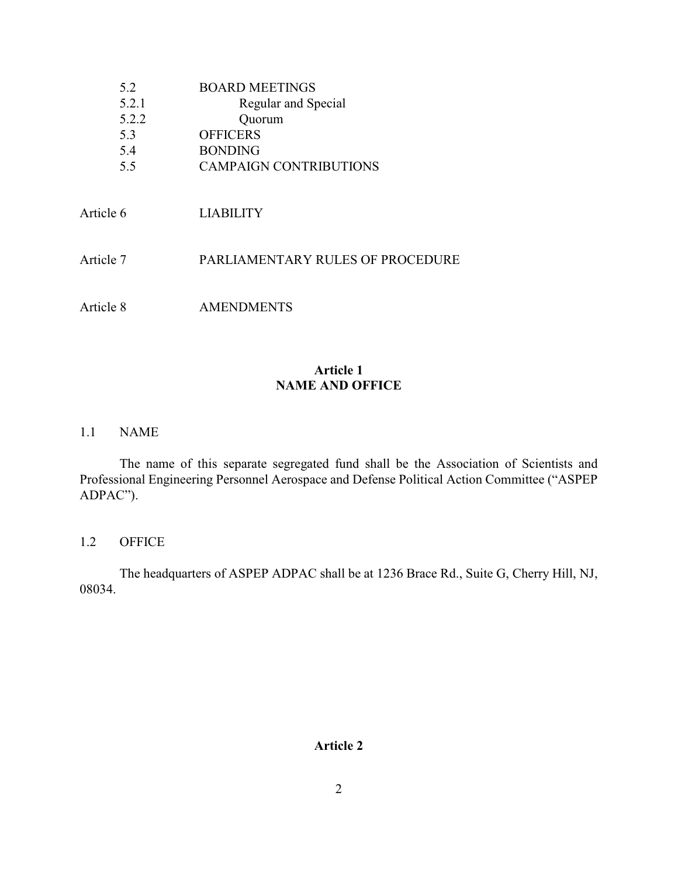| 5.2       | BOARD MEETINGS                |
|-----------|-------------------------------|
| 5.2.1     | Regular and Special           |
| 5.2.2     | Quorum                        |
| 5.3       | <b>OFFICERS</b>               |
| 5.4       | <b>BONDING</b>                |
| 5.5       | <b>CAMPAIGN CONTRIBUTIONS</b> |
| Article 6 | LIABILITY                     |

Article 7 PARLIAMENTARY RULES OF PROCEDURE

Article 8 AMENDMENTS

## **Article 1 NAME AND OFFICE**

1.1 NAME

The name of this separate segregated fund shall be the Association of Scientists and Professional Engineering Personnel Aerospace and Defense Political Action Committee ("ASPEP ADPAC").

1.2 OFFICE

The headquarters of ASPEP ADPAC shall be at 1236 Brace Rd., Suite G, Cherry Hill, NJ, 08034.

### **Article 2**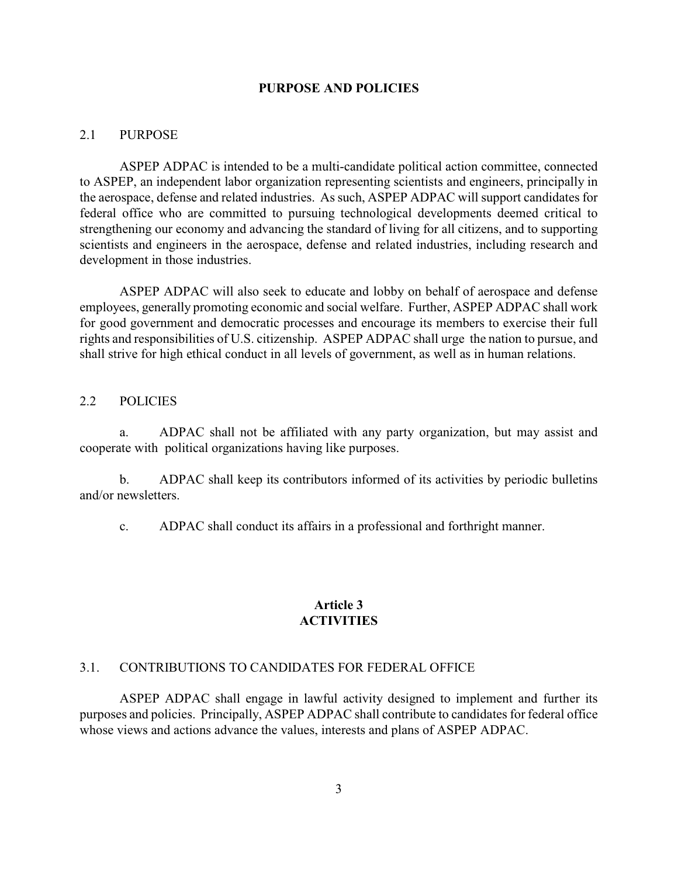#### **PURPOSE AND POLICIES**

#### 2.1 PURPOSE

ASPEP ADPAC is intended to be a multi-candidate political action committee, connected to ASPEP, an independent labor organization representing scientists and engineers, principally in the aerospace, defense and related industries. As such, ASPEP ADPAC will support candidates for federal office who are committed to pursuing technological developments deemed critical to strengthening our economy and advancing the standard of living for all citizens, and to supporting scientists and engineers in the aerospace, defense and related industries, including research and development in those industries.

ASPEP ADPAC will also seek to educate and lobby on behalf of aerospace and defense employees, generally promoting economic and social welfare. Further, ASPEP ADPAC shall work for good government and democratic processes and encourage its members to exercise their full rights and responsibilities of U.S. citizenship. ASPEP ADPAC shall urge the nation to pursue, and shall strive for high ethical conduct in all levels of government, as well as in human relations.

### 2.2 POLICIES

a. ADPAC shall not be affiliated with any party organization, but may assist and cooperate with political organizations having like purposes.

b. ADPAC shall keep its contributors informed of its activities by periodic bulletins and/or newsletters.

c. ADPAC shall conduct its affairs in a professional and forthright manner.

### **Article 3 ACTIVITIES**

#### 3.1. CONTRIBUTIONS TO CANDIDATES FOR FEDERAL OFFICE

ASPEP ADPAC shall engage in lawful activity designed to implement and further its purposes and policies. Principally, ASPEP ADPAC shall contribute to candidates for federal office whose views and actions advance the values, interests and plans of ASPEP ADPAC.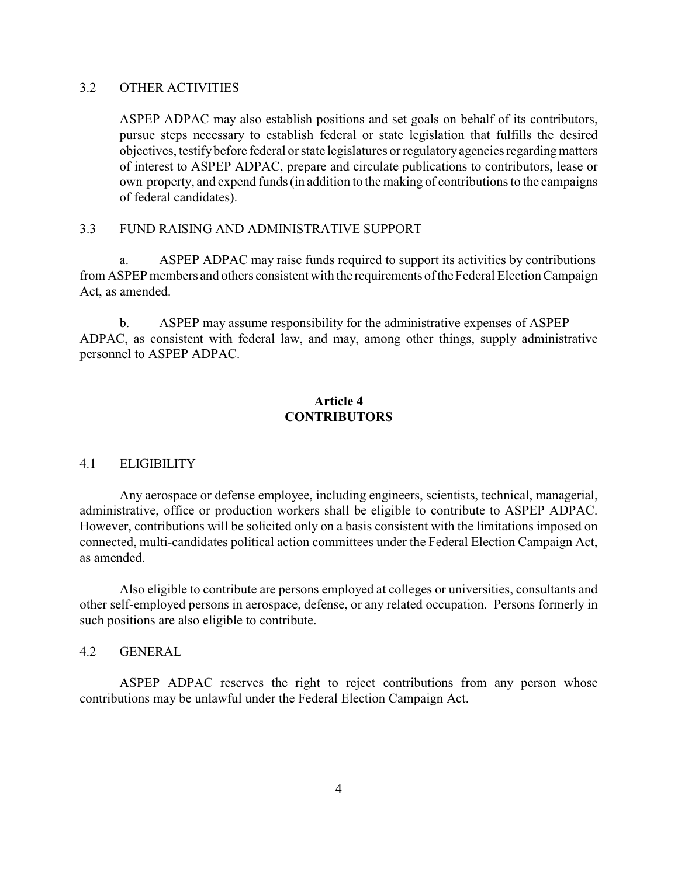### 3.2 OTHER ACTIVITIES

ASPEP ADPAC may also establish positions and set goals on behalf of its contributors, pursue steps necessary to establish federal or state legislation that fulfills the desired objectives, testify before federal or state legislatures or regulatory agencies regarding matters of interest to ASPEP ADPAC, prepare and circulate publications to contributors, lease or own property, and expend funds (in addition to the making of contributions to the campaigns of federal candidates).

#### 3.3 FUND RAISING AND ADMINISTRATIVE SUPPORT

a. ASPEP ADPAC may raise funds required to support its activities by contributions from ASPEP members and others consistent with the requirements of the Federal Election Campaign Act, as amended.

b. ASPEP may assume responsibility for the administrative expenses of ASPEP ADPAC, as consistent with federal law, and may, among other things, supply administrative personnel to ASPEP ADPAC.

## **Article 4 CONTRIBUTORS**

#### 4.1 ELIGIBILITY

Any aerospace or defense employee, including engineers, scientists, technical, managerial, administrative, office or production workers shall be eligible to contribute to ASPEP ADPAC. However, contributions will be solicited only on a basis consistent with the limitations imposed on connected, multi-candidates political action committees under the Federal Election Campaign Act, as amended.

Also eligible to contribute are persons employed at colleges or universities, consultants and other self-employed persons in aerospace, defense, or any related occupation. Persons formerly in such positions are also eligible to contribute.

## 4.2 GENERAL

ASPEP ADPAC reserves the right to reject contributions from any person whose contributions may be unlawful under the Federal Election Campaign Act.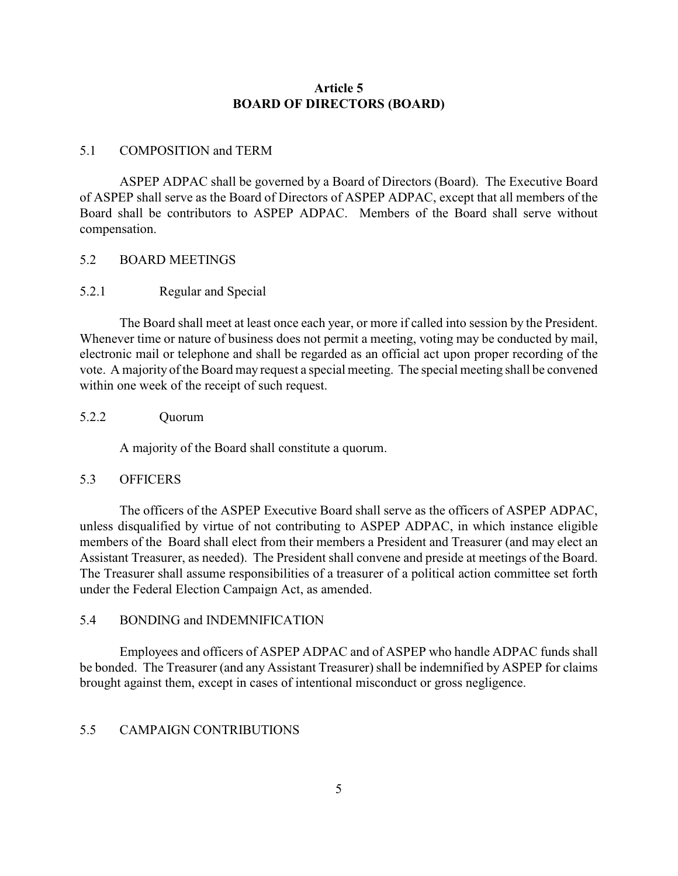## **Article 5 BOARD OF DIRECTORS (BOARD)**

#### 5.1 COMPOSITION and TERM

ASPEP ADPAC shall be governed by a Board of Directors (Board). The Executive Board of ASPEP shall serve as the Board of Directors of ASPEP ADPAC, except that all members of the Board shall be contributors to ASPEP ADPAC. Members of the Board shall serve without compensation.

#### 5.2 BOARD MEETINGS

### 5.2.1 Regular and Special

The Board shall meet at least once each year, or more if called into session by the President. Whenever time or nature of business does not permit a meeting, voting may be conducted by mail, electronic mail or telephone and shall be regarded as an official act upon proper recording of the vote. A majority of the Board may request a special meeting. The special meeting shall be convened within one week of the receipt of such request.

#### 5.2.2 Quorum

A majority of the Board shall constitute a quorum.

#### 5.3 OFFICERS

The officers of the ASPEP Executive Board shall serve as the officers of ASPEP ADPAC, unless disqualified by virtue of not contributing to ASPEP ADPAC, in which instance eligible members of the Board shall elect from their members a President and Treasurer (and may elect an Assistant Treasurer, as needed). The President shall convene and preside at meetings of the Board. The Treasurer shall assume responsibilities of a treasurer of a political action committee set forth under the Federal Election Campaign Act, as amended.

## 5.4 BONDING and INDEMNIFICATION

Employees and officers of ASPEP ADPAC and of ASPEP who handle ADPAC funds shall be bonded. The Treasurer (and any Assistant Treasurer) shall be indemnified by ASPEP for claims brought against them, except in cases of intentional misconduct or gross negligence.

### 5.5 CAMPAIGN CONTRIBUTIONS